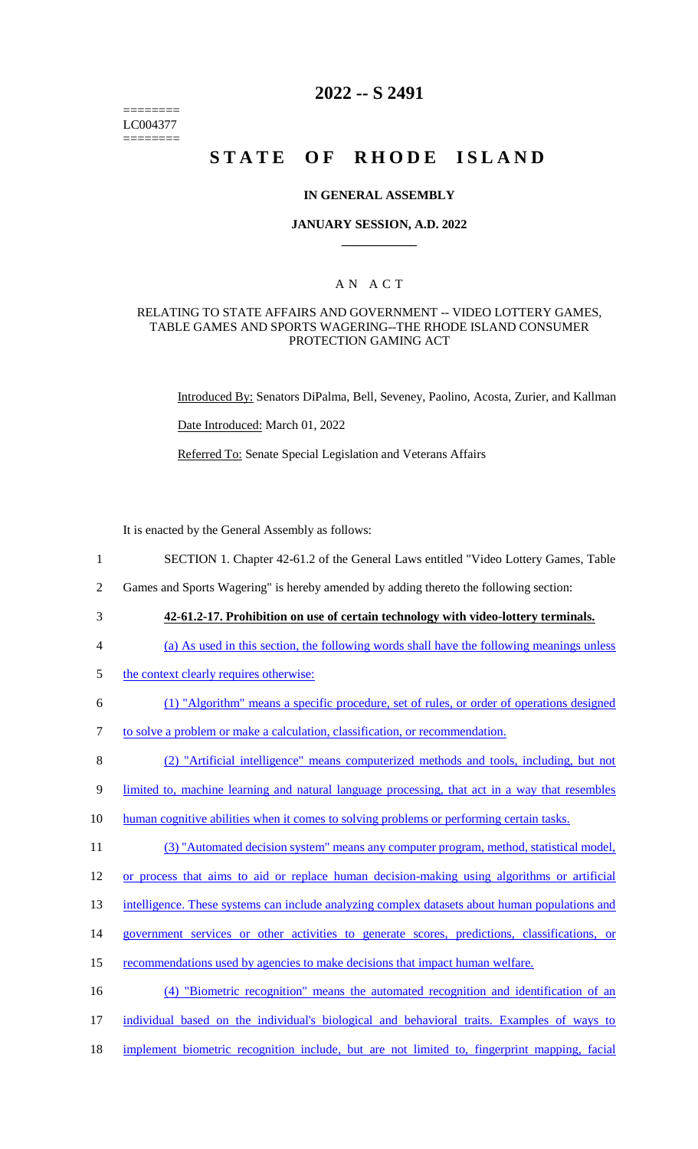======== LC004377 ========

# **2022 -- S 2491**

# **STATE OF RHODE ISLAND**

#### **IN GENERAL ASSEMBLY**

#### **JANUARY SESSION, A.D. 2022 \_\_\_\_\_\_\_\_\_\_\_\_**

### A N A C T

#### RELATING TO STATE AFFAIRS AND GOVERNMENT -- VIDEO LOTTERY GAMES, TABLE GAMES AND SPORTS WAGERING--THE RHODE ISLAND CONSUMER PROTECTION GAMING ACT

Introduced By: Senators DiPalma, Bell, Seveney, Paolino, Acosta, Zurier, and Kallman

Date Introduced: March 01, 2022

Referred To: Senate Special Legislation and Veterans Affairs

It is enacted by the General Assembly as follows:

- 1 SECTION 1. Chapter 42-61.2 of the General Laws entitled "Video Lottery Games, Table
- 2 Games and Sports Wagering" is hereby amended by adding thereto the following section:
- 
- 3 **42-61.2-17. Prohibition on use of certain technology with video-lottery terminals.**
- 4 (a) As used in this section, the following words shall have the following meanings unless
- 5 the context clearly requires otherwise:
- 6 (1) "Algorithm" means a specific procedure, set of rules, or order of operations designed
- 7 to solve a problem or make a calculation, classification, or recommendation.
- 8 (2) "Artificial intelligence" means computerized methods and tools, including, but not
- 9 limited to, machine learning and natural language processing, that act in a way that resembles
- 10 human cognitive abilities when it comes to solving problems or performing certain tasks.
- 11 (3) "Automated decision system" means any computer program, method, statistical model,
- 12 or process that aims to aid or replace human decision-making using algorithms or artificial
- 13 intelligence. These systems can include analyzing complex datasets about human populations and
- 14 government services or other activities to generate scores, predictions, classifications, or
- 15 recommendations used by agencies to make decisions that impact human welfare.

16 (4) "Biometric recognition" means the automated recognition and identification of an 17 individual based on the individual's biological and behavioral traits. Examples of ways to 18 implement biometric recognition include, but are not limited to, fingerprint mapping, facial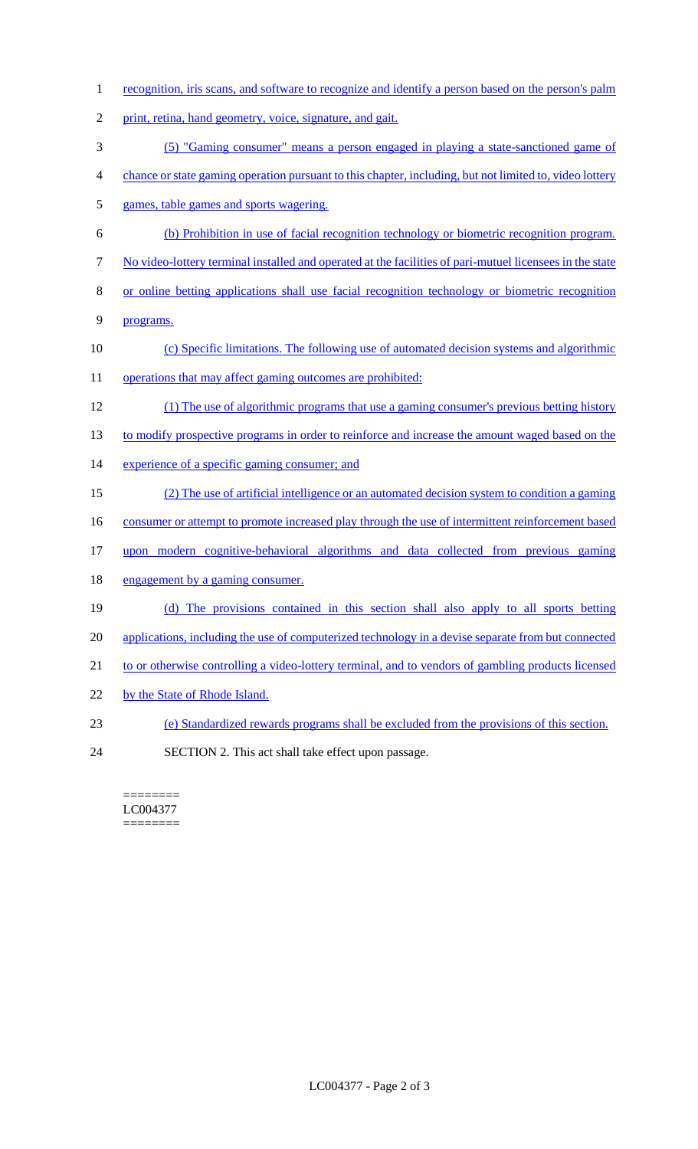1 recognition, iris scans, and software to recognize and identify a person based on the person's palm print, retina, hand geometry, voice, signature, and gait. (5) "Gaming consumer" means a person engaged in playing a state-sanctioned game of chance or state gaming operation pursuant to this chapter, including, but not limited to, video lottery games, table games and sports wagering. (b) Prohibition in use of facial recognition technology or biometric recognition program. No video-lottery terminal installed and operated at the facilities of pari-mutuel licensees in the state or online betting applications shall use facial recognition technology or biometric recognition programs. (c) Specific limitations. The following use of automated decision systems and algorithmic 11 operations that may affect gaming outcomes are prohibited: (1) The use of algorithmic programs that use a gaming consumer's previous betting history 13 to modify prospective programs in order to reinforce and increase the amount waged based on the 14 experience of a specific gaming consumer; and (2) The use of artificial intelligence or an automated decision system to condition a gaming 16 consumer or attempt to promote increased play through the use of intermittent reinforcement based upon modern cognitive-behavioral algorithms and data collected from previous gaming 18 engagement by a gaming consumer. (d) The provisions contained in this section shall also apply to all sports betting 20 applications, including the use of computerized technology in a devise separate from but connected 21 to or otherwise controlling a video-lottery terminal, and to vendors of gambling products licensed by the State of Rhode Island. (e) Standardized rewards programs shall be excluded from the provisions of this section. SECTION 2. This act shall take effect upon passage.

======== LC004377 ========